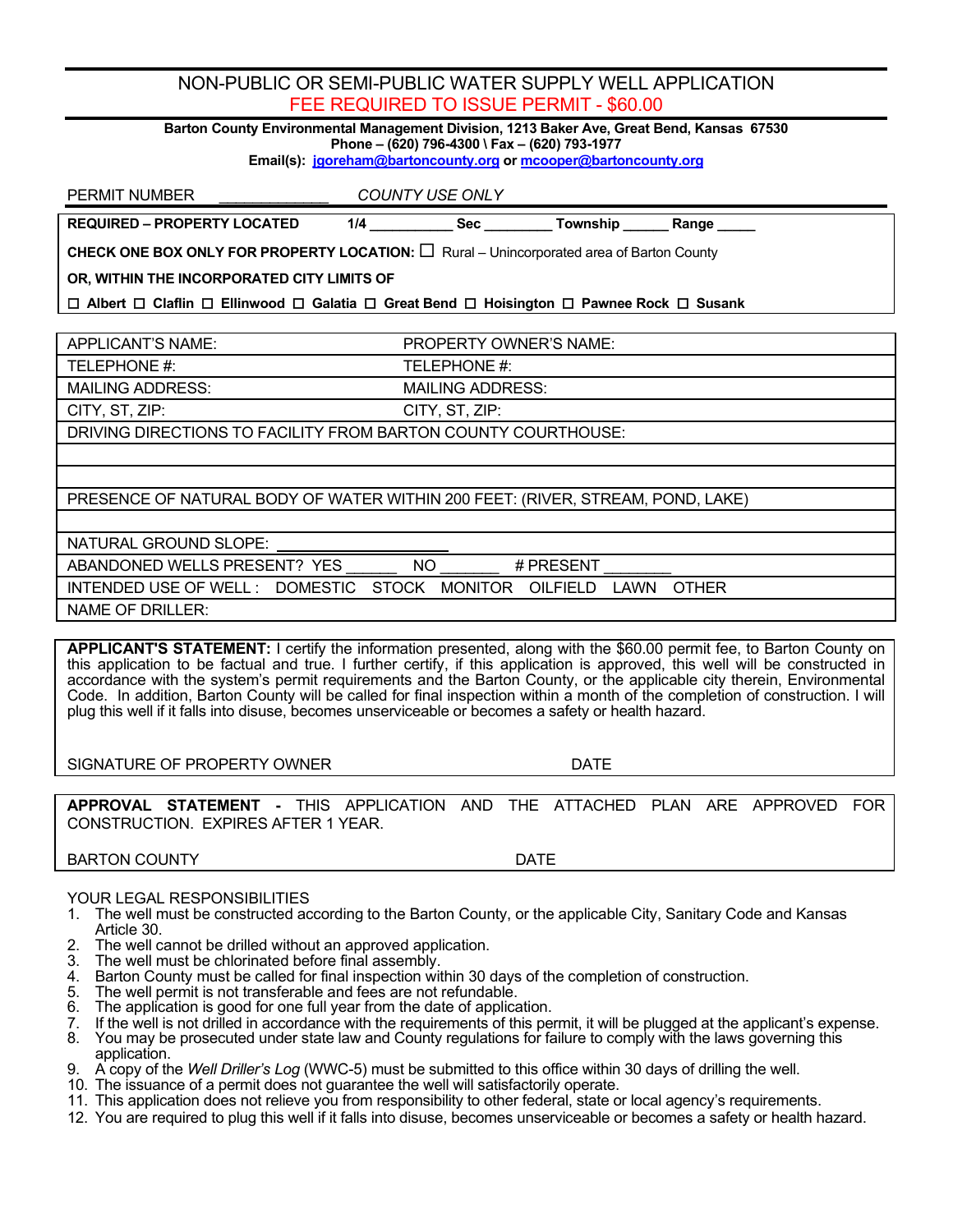## NON-PUBLIC OR SEMI-PUBLIC WATER SUPPLY WELL APPLICATION FEE REQUIRED TO ISSUE PERMIT - \$60.00

**Barton County Environmental Management Division, 1213 Baker Ave, Great Bend, Kansas 67530 Phone – (620) 796-4300 \ Fax – (620) 793-1977**

**Email(s): [jgoreham@bartoncounty.org](mailto:jgoreham@bartoncounty.org) o[r mcooper@bartoncounty.org](mailto:mcooper@bartoncounty.org)**

PERMIT NUMBER \_\_\_\_\_\_\_\_\_\_\_\_\_ *COUNTY USE ONLY*

**REQUIRED – PROPERTY LOCATED 1/4 \_\_\_\_\_\_\_\_\_\_\_ Sec \_\_\_\_\_\_\_\_\_ Township \_\_\_\_\_\_ Range \_\_\_\_\_**

**CHECK ONE BOX ONLY FOR PROPERTY LOCATION:**  $\Box$  Rural – Unincorporated area of Barton County

**OR, WITHIN THE INCORPORATED CITY LIMITS OF** 

 **Albert Claflin Ellinwood Galatia Great Bend Hoisington Pawnee Rock Susank**

APPLICANT'S NAME: PROPERTY OWNER'S NAME:

TELEPHONE #: TELEPHONE #: MAILING ADDRESS: MAILING ADDRESS:

CITY, ST, ZIP: CITY, ST, ZIP:

DRIVING DIRECTIONS TO FACILITY FROM BARTON COUNTY COURTHOUSE:

PRESENCE OF NATURAL BODY OF WATER WITHIN 200 FEET: (RIVER, STREAM, POND, LAKE)

NATURAL GROUND SLOPE:

ABANDONED WELLS PRESENT? YES \_\_\_\_\_\_\_ NO \_\_\_\_\_\_\_\_ # PRESENT

INTENDED USE OF WELL : DOMESTIC STOCK MONITOR OILFIELD LAWN OTHER

NAME OF DRILLER:

**APPLICANT'S STATEMENT:** I certify the information presented, along with the \$60.00 permit fee, to Barton County on this application to be factual and true. I further certify, if this application is approved, this well will be constructed in accordance with the system's permit requirements and the Barton County, or the applicable city therein, Environmental Code. In addition, Barton County will be called for final inspection within a month of the completion of construction. I will plug this well if it falls into disuse, becomes unserviceable or becomes a safety or health hazard.

SIGNATURE OF PROPERTY OWNER **EXAMPLE 2008 THE SIGNATURE OF PROPERTY OWNER** 

**APPROVAL STATEMENT -** THIS APPLICATION AND THE ATTACHED PLAN ARE APPROVED FOR CONSTRUCTION. EXPIRES AFTER 1 YEAR.

BARTON COUNTY **DATE** 

## YOUR LEGAL RESPONSIBILITIES

- 1. The well must be constructed according to the Barton County, or the applicable City, Sanitary Code and Kansas Article 30.
- 2. The well cannot be drilled without an approved application.<br>3. The well must be chlorinated before final assembly.
- 3. The well must be chlorinated before final assembly.
- 4. Barton County must be called for final inspection within 30 days of the completion of construction.<br>5. The well permit is not transferable and fees are not refundable.
- 5. The well permit is not transferable and fees are not refundable.<br>6. The application is good for one full year from the date of applica
- 6. The application is good for one full year from the date of application.<br>6. If the well is not drilled in accordance with the requirements of this per
- If the well is not drilled in accordance with the requirements of this permit, it will be plugged at the applicant's expense.
- 8. You may be prosecuted under state law and County regulations for failure to comply with the laws governing this application.
- 9. A copy of the *Well Driller's Log* (WWC-5) must be submitted to this office within 30 days of drilling the well.
- 10. The issuance of a permit does not guarantee the well will satisfactorily operate.
- 11. This application does not relieve you from responsibility to other federal, state or local agency's requirements.
- 12. You are required to plug this well if it falls into disuse, becomes unserviceable or becomes a safety or health hazard.